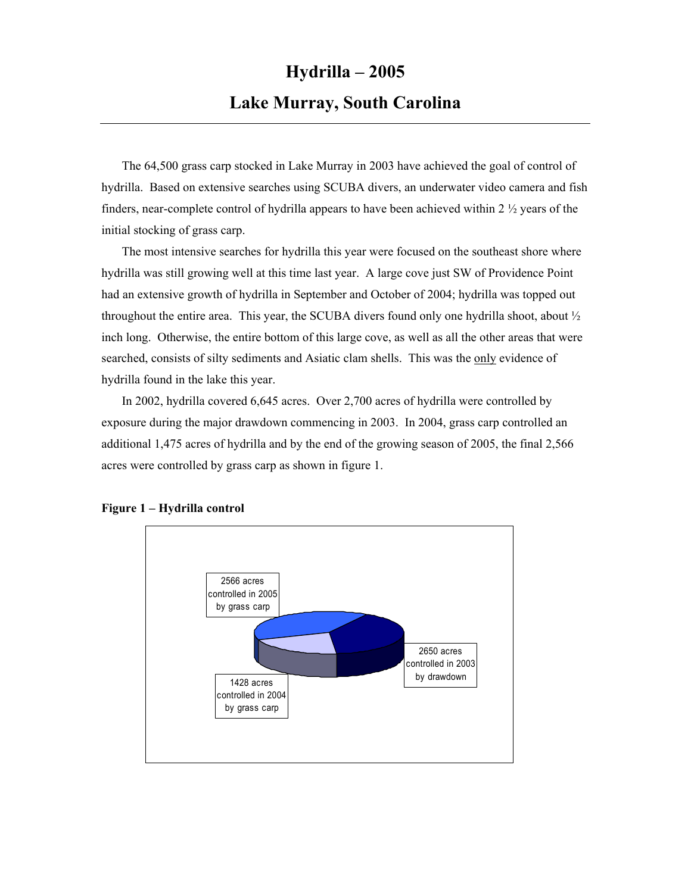## **Hydrilla – 2005 Lake Murray, South Carolina**

The 64,500 grass carp stocked in Lake Murray in 2003 have achieved the goal of control of hydrilla. Based on extensive searches using SCUBA divers, an underwater video camera and fish finders, near-complete control of hydrilla appears to have been achieved within 2  $\frac{1}{2}$  years of the initial stocking of grass carp.

The most intensive searches for hydrilla this year were focused on the southeast shore where hydrilla was still growing well at this time last year. A large cove just SW of Providence Point had an extensive growth of hydrilla in September and October of 2004; hydrilla was topped out throughout the entire area. This year, the SCUBA divers found only one hydrilla shoot, about ½ inch long. Otherwise, the entire bottom of this large cove, as well as all the other areas that were searched, consists of silty sediments and Asiatic clam shells. This was the only evidence of hydrilla found in the lake this year.

In 2002, hydrilla covered 6,645 acres. Over 2,700 acres of hydrilla were controlled by exposure during the major drawdown commencing in 2003. In 2004, grass carp controlled an additional 1,475 acres of hydrilla and by the end of the growing season of 2005, the final 2,566 acres were controlled by grass carp as shown in figure 1.



## **Figure 1 – Hydrilla control**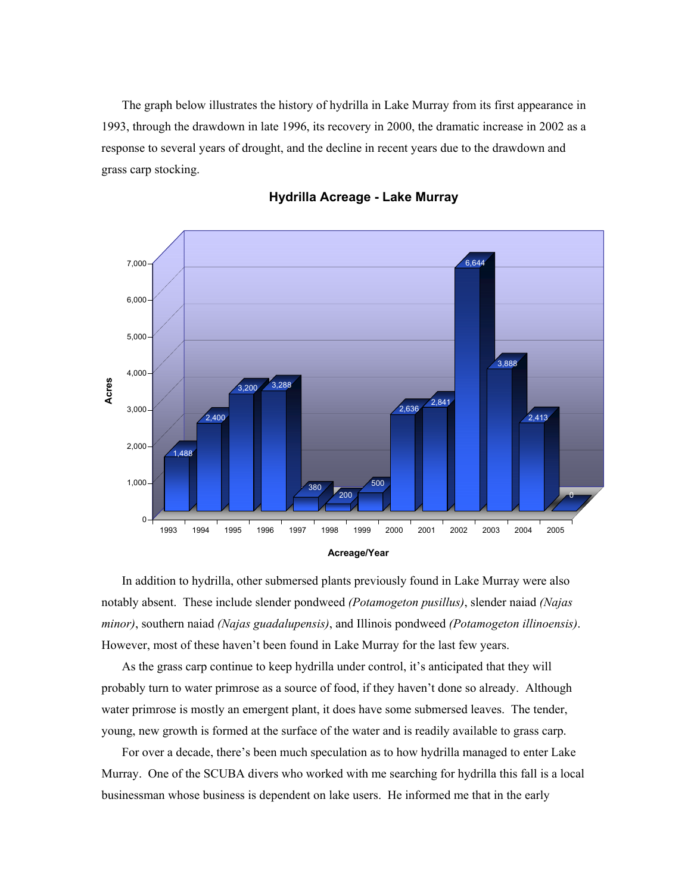The graph below illustrates the history of hydrilla in Lake Murray from its first appearance in 1993, through the drawdown in late 1996, its recovery in 2000, the dramatic increase in 2002 as a response to several years of drought, and the decline in recent years due to the drawdown and grass carp stocking.



**Hydrilla Acreage - Lake Murray**

In addition to hydrilla, other submersed plants previously found in Lake Murray were also notably absent. These include slender pondweed *(Potamogeton pusillus)*, slender naiad *(Najas minor)*, southern naiad *(Najas guadalupensis)*, and Illinois pondweed *(Potamogeton illinoensis)*. However, most of these haven't been found in Lake Murray for the last few years.

As the grass carp continue to keep hydrilla under control, it's anticipated that they will probably turn to water primrose as a source of food, if they haven't done so already. Although water primrose is mostly an emergent plant, it does have some submersed leaves. The tender, young, new growth is formed at the surface of the water and is readily available to grass carp.

For over a decade, there's been much speculation as to how hydrilla managed to enter Lake Murray. One of the SCUBA divers who worked with me searching for hydrilla this fall is a local businessman whose business is dependent on lake users. He informed me that in the early